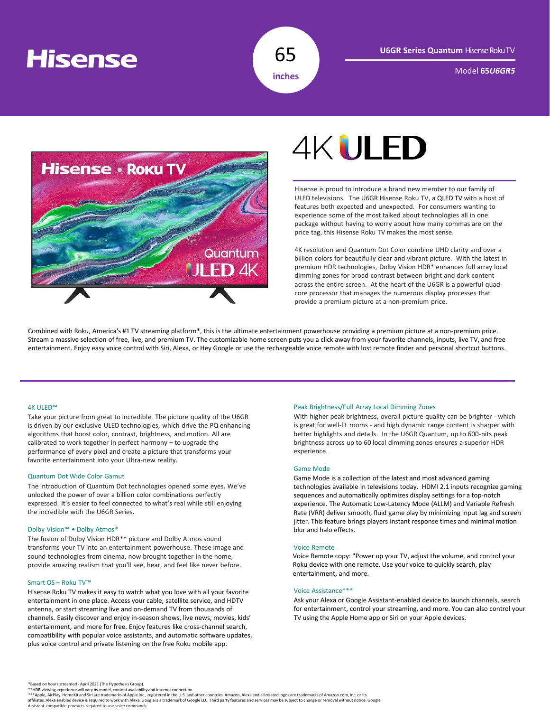## **Hisense**



Model **65***U6GR5*



# **4KULED**

Hisense is proud to introduce a brand new member to our family of ULED televisions. The U6GR Hisense Roku TV, a QLED TV with a host of features both expected and unexpected. For consumers wanting to experience some of the most talked about technologies all in one package without having to worry about how many commas are on the price tag, this Hisense Roku TV makes the most sense.

4K resolution and Quantum Dot Color combine UHD clarity and over a billion colors for beautifully clear and vibrant picture. With the latest in premium HDR technologies, Dolby Vision HDR\* enhances full array local dimming zones for broad contrast between bright and dark content across the entire screen. At the heart of the U6GR is a powerful quadcore processor that manages the numerous display processes that provide a premium picture at a non-premium price.

Combined with Roku, America's #1 TV streaming platform\*, this is the ultimate entertainment powerhouse providing a premium picture at a non-premium price. Stream a massive selection of free, live, and premium TV. The customizable home screen puts you a click away from your favorite channels, inputs, live TV, and free entertainment. Enjoy easy voice control with Siri, Alexa, or Hey Google or use the rechargeable voice remote with lost remote finder and personal shortcut buttons.

#### 4K ULED™

Take your picture from great to incredible. The picture quality of the U6GR is driven by our exclusive ULED technologies, which drive the PQ enhancing algorithms that boost color, contrast, brightness, and motion. All are calibrated to work together in perfect harmony – to upgrade the performance of every pixel and create a picture that transforms your favorite entertainment into your Ultra-new reality.

#### Quantum Dot Wide Color Gamut

The introduction of Quantum Dot technologies opened some eyes. We've unlocked the power of over a billion color combinations perfectly expressed. It's easier to feel connected to what's real while still enjoying the incredible with the U6GR Series.

#### Dolby Vision™ • Dolby Atmos®

The fusion of Dolby Vision HDR\*\* picture and Dolby Atmos sound transforms your TV into an entertainment powerhouse. These image and sound technologies from cinema, now brought together in the home, provide amazing realism that you'll see, hear, and feel like never before.

#### Smart OS – Roku TV™

Hisense Roku TV makes it easy to watch what you love with all your favorite entertainment in one place. Access your cable, satellite service, and HDTV antenna, or start streaming live and on-demand TV from thousands of channels. Easily discover and enjoy in-season shows, live news, movies, kids' entertainment, and more for free. Enjoy features like cross-channel search, compatibility with popular voice assistants, and automatic software updates, plus voice control and private listening on the free Roku mobile app.

#### Peak Brightness/Full Array Local Dimming Zones

With higher peak brightness, overall picture quality can be brighter - which is great for well-lit rooms - and high dynamic range content is sharper with better highlights and details. In the U6GR Quantum, up to 600-nits peak brightness across up to 60 local dimming zones ensures a superior HDR experience.

#### Game Mode

Game Mode is a collection of the latest and most advanced gaming technologies available in televisions today. HDMI 2.1 inputs recognize gaming sequences and automatically optimizes display settings for a top-notch experience. The Automatic Low-Latency Mode (ALLM) and Variable Refresh Rate (VRR) deliver smooth, fluid game play by minimizing input lag and screen jitter. This feature brings players instant response times and minimal motion blur and halo effects.

#### Voice Remote

Voice Remote copy: "Power up your TV, adjust the volume, and control your Roku device with one remote. Use your voice to quickly search, play entertainment, and more.

#### Voice Assistance\*\*\*

Ask your Alexa or Google Assistant-enabled device to launch channels, search for entertainment, control your streaming, and more. You can also control your TV using the Apple Home app or Siri on your Apple devices.

\*\*HDR viewing experience will vary by model, content availability and internet connection<br>\*\*\*Apple, AirPlay, HomeKit and Siri are trademarks of Apple and the U.S. and other countries. Amazon, Alexa and all related logos ar Assistant-compatible products required to use voice commands.

<sup>\*</sup>Based on hours streamed - April 2021 (The Hypothesis Group).